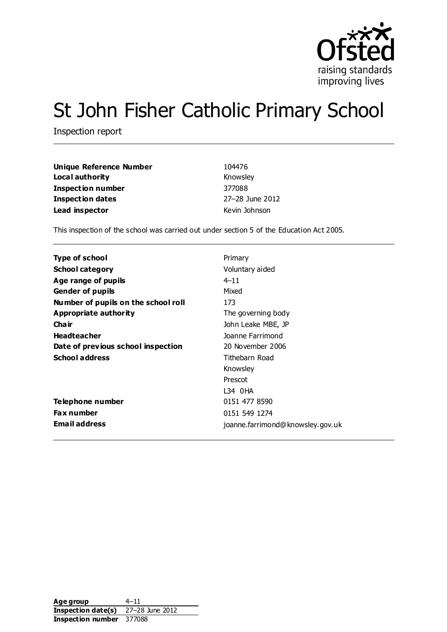

# St John Fisher Catholic Primary School

Inspection report

| Unique Reference Number | 104476          |
|-------------------------|-----------------|
| Local authority         | Knowsley        |
| Inspection number       | 377088          |
| <b>Inspection dates</b> | 27-28 June 2012 |
| Lead inspector          | Kevin Johnson   |

This inspection of the school was carried out under section 5 of the Education Act 2005.

| Type of school                      | Primary                          |
|-------------------------------------|----------------------------------|
| <b>School category</b>              | Voluntary aided                  |
| Age range of pupils                 | $4 - 11$                         |
| <b>Gender of pupils</b>             | Mixed                            |
| Number of pupils on the school roll | 173                              |
| Appropriate authority               | The governing body               |
| Cha ir                              | John Leake MBE, JP               |
| <b>Headteacher</b>                  | Joanne Farrimond                 |
| Date of previous school inspection  | 20 November 2006                 |
| <b>School address</b>               | Tithebarn Road                   |
|                                     | Knowsley                         |
|                                     | Prescot                          |
|                                     | L34 0HA                          |
| Telephone number                    | 0151 477 8590                    |
| Fax number                          | 0151 549 1274                    |
| <b>Email address</b>                | joanne.farrimond@knowsley.gov.uk |

Age group 4–11 **Inspection date(s)** 27–28 June 2012 **Inspection number** 377088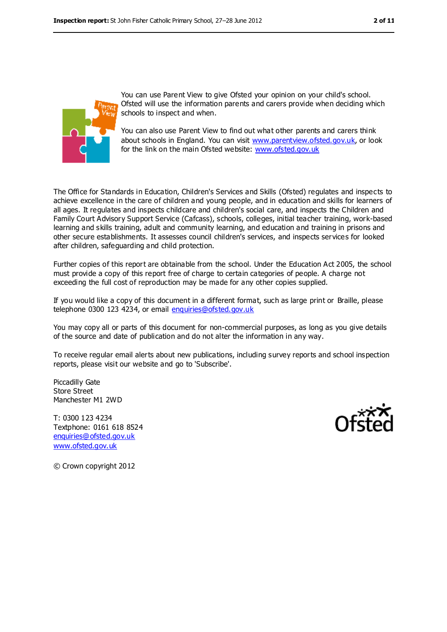

You can use Parent View to give Ofsted your opinion on your child's school. Ofsted will use the information parents and carers provide when deciding which schools to inspect and when.

You can also use Parent View to find out what other parents and carers think about schools in England. You can visit [www.parentview.ofsted.gov.uk,](../AppData/Local/Microsoft/Windows/Temporary%20Internet%20Files/Low/Content.IE5/AppData/Local/Microsoft/Windows/Temporary%20Internet%20Files/Low/Content.IE5/AppData/Local/Microsoft/Windows/Temporary%20Internet%20Files/Low/Content.IE5/MJSXCQ65/www.parentview.ofsted.gov.uk) or look for the link on the main Ofsted website: [www.ofsted.gov.uk](../AppData/Local/Microsoft/Windows/Temporary%20Internet%20Files/Low/Content.IE5/AppData/Local/Microsoft/Windows/Temporary%20Internet%20Files/Low/Content.IE5/AppData/Local/Microsoft/Windows/Temporary%20Internet%20Files/Low/Content.IE5/MJSXCQ65/www.ofsted.gov.uk)

The Office for Standards in Education, Children's Services and Skills (Ofsted) regulates and inspects to achieve excellence in the care of children and young people, and in education and skills for learners of all ages. It regulates and inspects childcare and children's social care, and inspects the Children and Family Court Advisory Support Service (Cafcass), schools, colleges, initial teacher training, work-based learning and skills training, adult and community learning, and education and training in prisons and other secure establishments. It assesses council children's services, and inspects services for looked after children, safeguarding and child protection.

Further copies of this report are obtainable from the school. Under the Education Act 2005, the school must provide a copy of this report free of charge to certain categories of people. A charge not exceeding the full cost of reproduction may be made for any other copies supplied.

If you would like a copy of this document in a different format, such as large print or Braille, please telephone 0300 123 4234, or email [enquiries@ofsted.gov.uk](mailto:enquiries@ofsted.gov.uk)

You may copy all or parts of this document for non-commercial purposes, as long as you give details of the source and date of publication and do not alter the information in any way.

To receive regular email alerts about new publications, including survey reports and school inspection reports, please visit our website and go to 'Subscribe'.

Piccadilly Gate Store Street Manchester M1 2WD

T: 0300 123 4234 Textphone: 0161 618 8524 [enquiries@ofsted.gov.uk](mailto:enquiries@ofsted.gov.uk) [www.ofsted.gov.uk](http://www.ofsted.gov.uk/)



© Crown copyright 2012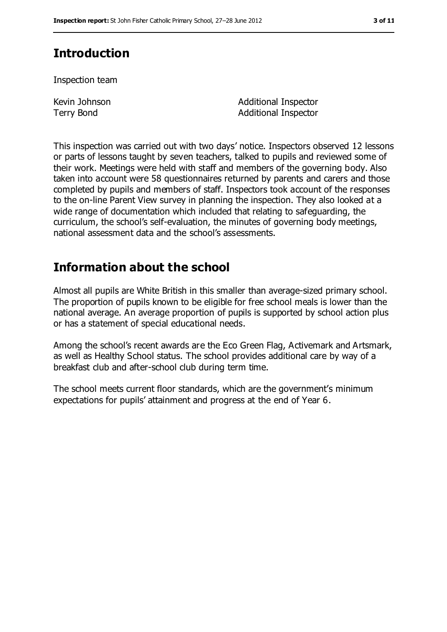# **Introduction**

Inspection team

Kevin Johnson Terry Bond

Additional Inspector Additional Inspector

This inspection was carried out with two days' notice. Inspectors observed 12 lessons or parts of lessons taught by seven teachers, talked to pupils and reviewed some of their work. Meetings were held with staff and members of the governing body. Also taken into account were 58 questionnaires returned by parents and carers and those completed by pupils and members of staff. Inspectors took account of the responses to the on-line Parent View survey in planning the inspection. They also looked at a wide range of documentation which included that relating to safeguarding, the curriculum, the school's self-evaluation, the minutes of governing body meetings, national assessment data and the school's assessments.

# **Information about the school**

Almost all pupils are White British in this smaller than average-sized primary school. The proportion of pupils known to be eligible for free school meals is lower than the national average. An average proportion of pupils is supported by school action plus or has a statement of special educational needs.

Among the school's recent awards are the Eco Green Flag, Activemark and Artsmark, as well as Healthy School status. The school provides additional care by way of a breakfast club and after-school club during term time.

The school meets current floor standards, which are the government's minimum expectations for pupils' attainment and progress at the end of Year 6.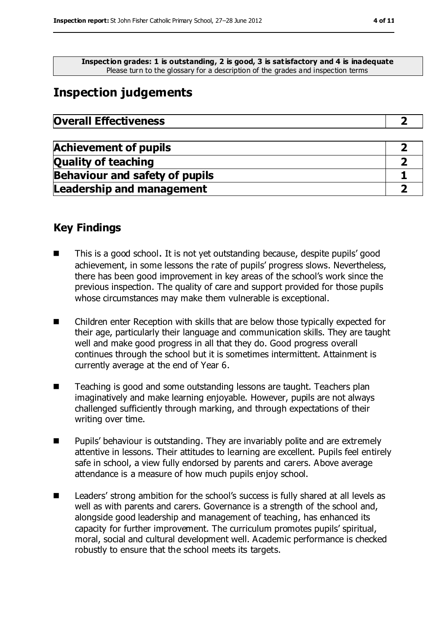**Inspection grades: 1 is outstanding, 2 is good, 3 is satisfactory and 4 is inadequate** Please turn to the glossary for a description of the grades and inspection terms

## **Inspection judgements**

| <b>Overall Effectiveness</b> |
|------------------------------|
|------------------------------|

| <b>Achievement of pupils</b>          |  |
|---------------------------------------|--|
| <b>Quality of teaching</b>            |  |
| <b>Behaviour and safety of pupils</b> |  |
| <b>Leadership and management</b>      |  |

### **Key Findings**

- This is a good school. It is not yet outstanding because, despite pupils' good achievement, in some lessons the rate of pupils' progress slows. Nevertheless, there has been good improvement in key areas of the school's work since the previous inspection. The quality of care and support provided for those pupils whose circumstances may make them vulnerable is exceptional.
- Children enter Reception with skills that are below those typically expected for their age, particularly their language and communication skills. They are taught well and make good progress in all that they do. Good progress overall continues through the school but it is sometimes intermittent. Attainment is currently average at the end of Year 6.
- Teaching is good and some outstanding lessons are taught. Teachers plan imaginatively and make learning enjoyable. However, pupils are not always challenged sufficiently through marking, and through expectations of their writing over time.
- Pupils' behaviour is outstanding. They are invariably polite and are extremely attentive in lessons. Their attitudes to learning are excellent. Pupils feel entirely safe in school, a view fully endorsed by parents and carers. Above average attendance is a measure of how much pupils enjoy school.
- Leaders' strong ambition for the school's success is fully shared at all levels as well as with parents and carers. Governance is a strength of the school and, alongside good leadership and management of teaching, has enhanced its capacity for further improvement. The curriculum promotes pupils' spiritual, moral, social and cultural development well. Academic performance is checked robustly to ensure that the school meets its targets.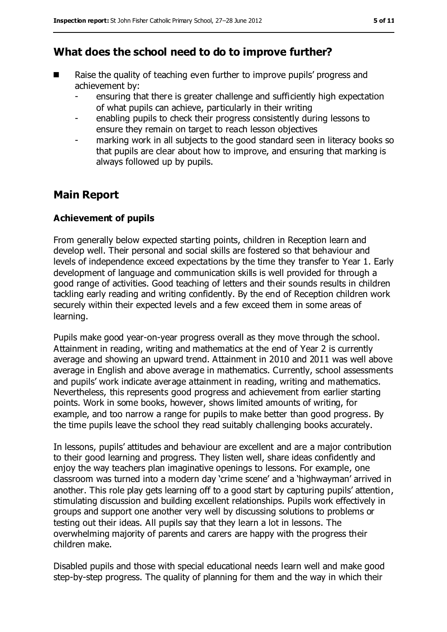### **What does the school need to do to improve further?**

- Raise the quality of teaching even further to improve pupils' progress and achievement by:
	- ensuring that there is greater challenge and sufficiently high expectation of what pupils can achieve, particularly in their writing
	- enabling pupils to check their progress consistently during lessons to ensure they remain on target to reach lesson objectives
	- marking work in all subjects to the good standard seen in literacy books so that pupils are clear about how to improve, and ensuring that marking is always followed up by pupils.

### **Main Report**

#### **Achievement of pupils**

From generally below expected starting points, children in Reception learn and develop well. Their personal and social skills are fostered so that behaviour and levels of independence exceed expectations by the time they transfer to Year 1. Early development of language and communication skills is well provided for through a good range of activities. Good teaching of letters and their sounds results in children tackling early reading and writing confidently. By the end of Reception children work securely within their expected levels and a few exceed them in some areas of learning.

Pupils make good year-on-year progress overall as they move through the school. Attainment in reading, writing and mathematics at the end of Year 2 is currently average and showing an upward trend. Attainment in 2010 and 2011 was well above average in English and above average in mathematics. Currently, school assessments and pupils' work indicate average attainment in reading, writing and mathematics. Nevertheless, this represents good progress and achievement from earlier starting points. Work in some books, however, shows limited amounts of writing, for example, and too narrow a range for pupils to make better than good progress. By the time pupils leave the school they read suitably challenging books accurately.

In lessons, pupils' attitudes and behaviour are excellent and are a major contribution to their good learning and progress. They listen well, share ideas confidently and enjoy the way teachers plan imaginative openings to lessons. For example, one classroom was turned into a modern day 'crime scene' and a 'highwayman' arrived in another. This role play gets learning off to a good start by capturing pupils' attention, stimulating discussion and building excellent relationships. Pupils work effectively in groups and support one another very well by discussing solutions to problems or testing out their ideas. All pupils say that they learn a lot in lessons. The overwhelming majority of parents and carers are happy with the progress their children make.

Disabled pupils and those with special educational needs learn well and make good step-by-step progress. The quality of planning for them and the way in which their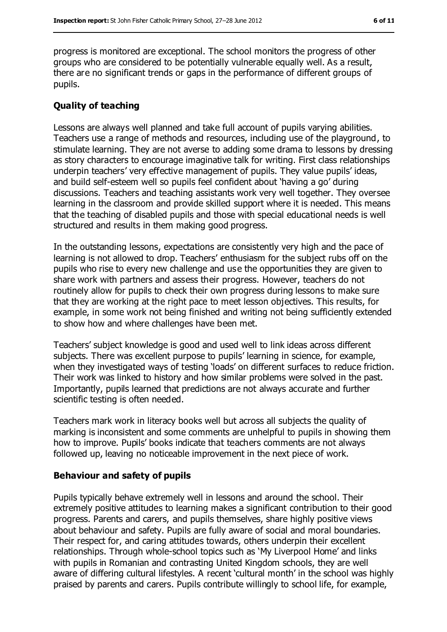progress is monitored are exceptional. The school monitors the progress of other groups who are considered to be potentially vulnerable equally well. As a result, there are no significant trends or gaps in the performance of different groups of pupils.

#### **Quality of teaching**

Lessons are always well planned and take full account of pupils varying abilities. Teachers use a range of methods and resources, including use of the playground, to stimulate learning. They are not averse to adding some drama to lessons by dressing as story characters to encourage imaginative talk for writing. First class relationships underpin teachers' very effective management of pupils. They value pupils' ideas, and build self-esteem well so pupils feel confident about 'having a go' during discussions. Teachers and teaching assistants work very well together. They oversee learning in the classroom and provide skilled support where it is needed. This means that the teaching of disabled pupils and those with special educational needs is well structured and results in them making good progress.

In the outstanding lessons, expectations are consistently very high and the pace of learning is not allowed to drop. Teachers' enthusiasm for the subject rubs off on the pupils who rise to every new challenge and use the opportunities they are given to share work with partners and assess their progress. However, teachers do not routinely allow for pupils to check their own progress during lessons to make sure that they are working at the right pace to meet lesson objectives. This results, for example, in some work not being finished and writing not being sufficiently extended to show how and where challenges have been met.

Teachers' subject knowledge is good and used well to link ideas across different subjects. There was excellent purpose to pupils' learning in science, for example, when they investigated ways of testing 'loads' on different surfaces to reduce friction. Their work was linked to history and how similar problems were solved in the past. Importantly, pupils learned that predictions are not always accurate and further scientific testing is often needed.

Teachers mark work in literacy books well but across all subjects the quality of marking is inconsistent and some comments are unhelpful to pupils in showing them how to improve. Pupils' books indicate that teachers comments are not always followed up, leaving no noticeable improvement in the next piece of work.

#### **Behaviour and safety of pupils**

Pupils typically behave extremely well in lessons and around the school. Their extremely positive attitudes to learning makes a significant contribution to their good progress. Parents and carers, and pupils themselves, share highly positive views about behaviour and safety. Pupils are fully aware of social and moral boundaries. Their respect for, and caring attitudes towards, others underpin their excellent relationships. Through whole-school topics such as 'My Liverpool Home' and links with pupils in Romanian and contrasting United Kingdom schools, they are well aware of differing cultural lifestyles. A recent 'cultural month' in the school was highly praised by parents and carers. Pupils contribute willingly to school life, for example,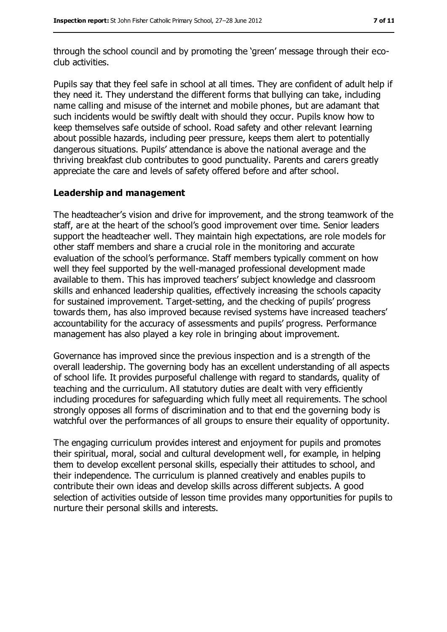through the school council and by promoting the 'green' message through their ecoclub activities.

Pupils say that they feel safe in school at all times. They are confident of adult help if they need it. They understand the different forms that bullying can take, including name calling and misuse of the internet and mobile phones, but are adamant that such incidents would be swiftly dealt with should they occur. Pupils know how to keep themselves safe outside of school. Road safety and other relevant learning about possible hazards, including peer pressure, keeps them alert to potentially dangerous situations. Pupils' attendance is above the national average and the thriving breakfast club contributes to good punctuality. Parents and carers greatly appreciate the care and levels of safety offered before and after school.

#### **Leadership and management**

The headteacher's vision and drive for improvement, and the strong teamwork of the staff, are at the heart of the school's good improvement over time. Senior leaders support the headteacher well. They maintain high expectations, are role models for other staff members and share a crucial role in the monitoring and accurate evaluation of the school's performance. Staff members typically comment on how well they feel supported by the well-managed professional development made available to them. This has improved teachers' subject knowledge and classroom skills and enhanced leadership qualities, effectively increasing the schools capacity for sustained improvement. Target-setting, and the checking of pupils' progress towards them, has also improved because revised systems have increased teachers' accountability for the accuracy of assessments and pupils' progress. Performance management has also played a key role in bringing about improvement.

Governance has improved since the previous inspection and is a strength of the overall leadership. The governing body has an excellent understanding of all aspects of school life. It provides purposeful challenge with regard to standards, quality of teaching and the curriculum. All statutory duties are dealt with very efficiently including procedures for safeguarding which fully meet all requirements. The school strongly opposes all forms of discrimination and to that end the governing body is watchful over the performances of all groups to ensure their equality of opportunity.

The engaging curriculum provides interest and enjoyment for pupils and promotes their spiritual, moral, social and cultural development well, for example, in helping them to develop excellent personal skills, especially their attitudes to school, and their independence. The curriculum is planned creatively and enables pupils to contribute their own ideas and develop skills across different subjects. A good selection of activities outside of lesson time provides many opportunities for pupils to nurture their personal skills and interests.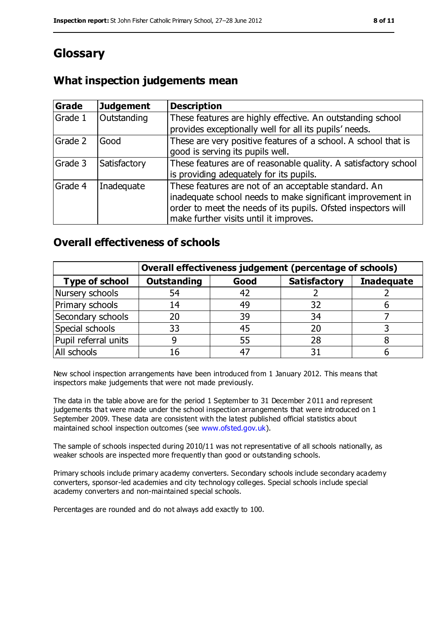# **Glossary**

### **What inspection judgements mean**

| Grade   | <b>Judgement</b> | <b>Description</b>                                                                                                                                                                                                            |
|---------|------------------|-------------------------------------------------------------------------------------------------------------------------------------------------------------------------------------------------------------------------------|
| Grade 1 | Outstanding      | These features are highly effective. An outstanding school<br>provides exceptionally well for all its pupils' needs.                                                                                                          |
| Grade 2 | Good             | These are very positive features of a school. A school that is<br>good is serving its pupils well.                                                                                                                            |
| Grade 3 | Satisfactory     | These features are of reasonable quality. A satisfactory school<br>is providing adequately for its pupils.                                                                                                                    |
| Grade 4 | Inadequate       | These features are not of an acceptable standard. An<br>inadequate school needs to make significant improvement in<br>order to meet the needs of its pupils. Ofsted inspectors will<br>make further visits until it improves. |

### **Overall effectiveness of schools**

|                       | Overall effectiveness judgement (percentage of schools) |      |                     |                   |
|-----------------------|---------------------------------------------------------|------|---------------------|-------------------|
| <b>Type of school</b> | <b>Outstanding</b>                                      | Good | <b>Satisfactory</b> | <b>Inadequate</b> |
| Nursery schools       | 54                                                      | 42   |                     |                   |
| Primary schools       | 14                                                      | 49   | 32                  |                   |
| Secondary schools     | 20                                                      | 39   | 34                  |                   |
| Special schools       | 33                                                      | 45   |                     |                   |
| Pupil referral units  | 9                                                       | 55   | 28                  |                   |
| All schools           | 16                                                      | -47  |                     |                   |

New school inspection arrangements have been introduced from 1 January 2012. This means that inspectors make judgements that were not made previously.

The data in the table above are for the period 1 September to 31 December 2 011 and represent judgements that were made under the school inspection arrangements that were introduced on 1 September 2009. These data are consistent with the latest published official statistics about maintained school inspection outcomes (see [www.ofsted.gov.uk\)](../AppData/Local/Microsoft/Windows/Temporary%20Internet%20Files/Low/Content.IE5/AppData/Local/Microsoft/Windows/Temporary%20Internet%20Files/Low/Content.IE5/AppData/Local/Microsoft/Windows/Temporary%20Internet%20Files/Low/Content.IE5/MJSXCQ65/www.ofsted.gov.uk).

The sample of schools inspected during 2010/11 was not representative of all schools nationally, as weaker schools are inspected more frequently than good or outstanding schools.

Primary schools include primary academy converters. Secondary schools include secondary academy converters, sponsor-led academies and city technology colleges. Special schools include special academy converters and non-maintained special schools.

Percentages are rounded and do not always add exactly to 100.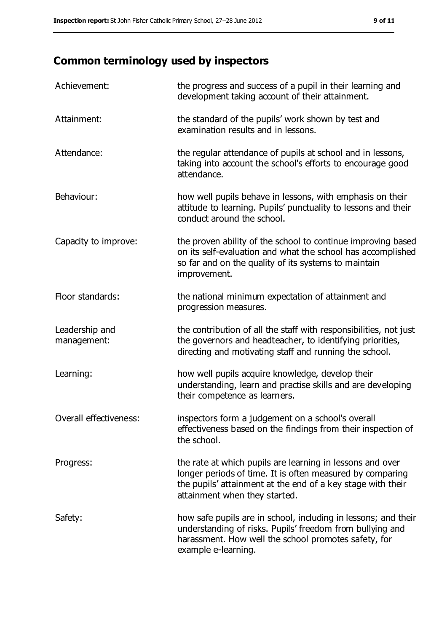# **Common terminology used by inspectors**

| Achievement:                  | the progress and success of a pupil in their learning and<br>development taking account of their attainment.                                                                                                           |
|-------------------------------|------------------------------------------------------------------------------------------------------------------------------------------------------------------------------------------------------------------------|
| Attainment:                   | the standard of the pupils' work shown by test and<br>examination results and in lessons.                                                                                                                              |
| Attendance:                   | the regular attendance of pupils at school and in lessons,<br>taking into account the school's efforts to encourage good<br>attendance.                                                                                |
| Behaviour:                    | how well pupils behave in lessons, with emphasis on their<br>attitude to learning. Pupils' punctuality to lessons and their<br>conduct around the school.                                                              |
| Capacity to improve:          | the proven ability of the school to continue improving based<br>on its self-evaluation and what the school has accomplished<br>so far and on the quality of its systems to maintain<br>improvement.                    |
| Floor standards:              | the national minimum expectation of attainment and<br>progression measures.                                                                                                                                            |
| Leadership and<br>management: | the contribution of all the staff with responsibilities, not just<br>the governors and headteacher, to identifying priorities,<br>directing and motivating staff and running the school.                               |
| Learning:                     | how well pupils acquire knowledge, develop their<br>understanding, learn and practise skills and are developing<br>their competence as learners.                                                                       |
| Overall effectiveness:        | inspectors form a judgement on a school's overall<br>effectiveness based on the findings from their inspection of<br>the school.                                                                                       |
| Progress:                     | the rate at which pupils are learning in lessons and over<br>longer periods of time. It is often measured by comparing<br>the pupils' attainment at the end of a key stage with their<br>attainment when they started. |
| Safety:                       | how safe pupils are in school, including in lessons; and their<br>understanding of risks. Pupils' freedom from bullying and<br>harassment. How well the school promotes safety, for<br>example e-learning.             |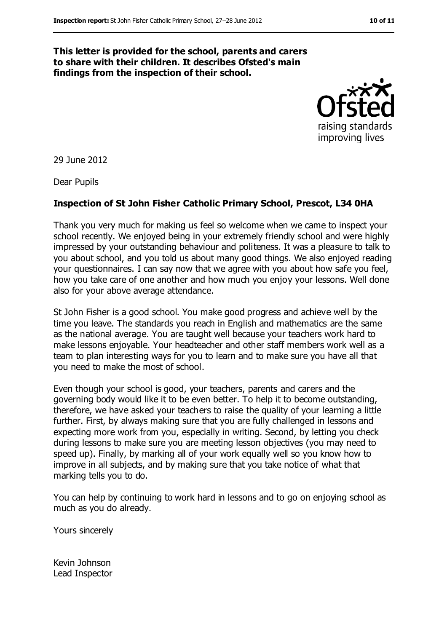#### **This letter is provided for the school, parents and carers to share with their children. It describes Ofsted's main findings from the inspection of their school.**



29 June 2012

Dear Pupils

#### **Inspection of St John Fisher Catholic Primary School, Prescot, L34 0HA**

Thank you very much for making us feel so welcome when we came to inspect your school recently. We enjoyed being in your extremely friendly school and were highly impressed by your outstanding behaviour and politeness. It was a pleasure to talk to you about school, and you told us about many good things. We also enjoyed reading your questionnaires. I can say now that we agree with you about how safe you feel, how you take care of one another and how much you enjoy your lessons. Well done also for your above average attendance.

St John Fisher is a good school. You make good progress and achieve well by the time you leave. The standards you reach in English and mathematics are the same as the national average. You are taught well because your teachers work hard to make lessons enjoyable. Your headteacher and other staff members work well as a team to plan interesting ways for you to learn and to make sure you have all that you need to make the most of school.

Even though your school is good, your teachers, parents and carers and the governing body would like it to be even better. To help it to become outstanding, therefore, we have asked your teachers to raise the quality of your learning a little further. First, by always making sure that you are fully challenged in lessons and expecting more work from you, especially in writing. Second, by letting you check during lessons to make sure you are meeting lesson objectives (you may need to speed up). Finally, by marking all of your work equally well so you know how to improve in all subjects, and by making sure that you take notice of what that marking tells you to do.

You can help by continuing to work hard in lessons and to go on enjoying school as much as you do already.

Yours sincerely

Kevin Johnson Lead Inspector